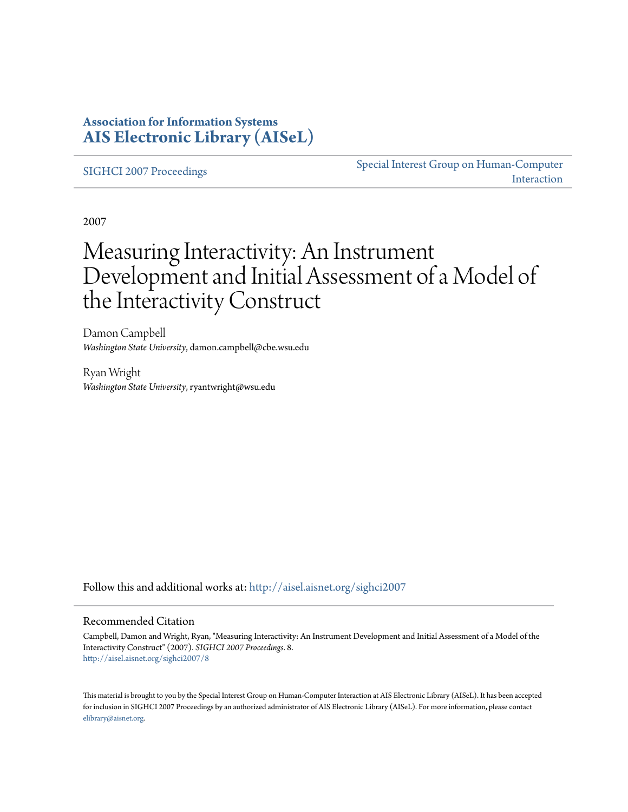### **Association for Information Systems [AIS Electronic Library \(AISeL\)](http://aisel.aisnet.org?utm_source=aisel.aisnet.org%2Fsighci2007%2F8&utm_medium=PDF&utm_campaign=PDFCoverPages)**

[SIGHCI 2007 Proceedings](http://aisel.aisnet.org/sighci2007?utm_source=aisel.aisnet.org%2Fsighci2007%2F8&utm_medium=PDF&utm_campaign=PDFCoverPages)

[Special Interest Group on Human-Computer](http://aisel.aisnet.org/sighci?utm_source=aisel.aisnet.org%2Fsighci2007%2F8&utm_medium=PDF&utm_campaign=PDFCoverPages) [Interaction](http://aisel.aisnet.org/sighci?utm_source=aisel.aisnet.org%2Fsighci2007%2F8&utm_medium=PDF&utm_campaign=PDFCoverPages)

2007

# Measuring Interactivity: An Instrument Development and Initial Assessment of a Model of the Interactivity Construct

Damon Campbell *Washington State University*, damon.campbell@cbe.wsu.edu

Ryan Wright *Washington State University*, ryantwright@wsu.edu

Follow this and additional works at: [http://aisel.aisnet.org/sighci2007](http://aisel.aisnet.org/sighci2007?utm_source=aisel.aisnet.org%2Fsighci2007%2F8&utm_medium=PDF&utm_campaign=PDFCoverPages)

#### Recommended Citation

Campbell, Damon and Wright, Ryan, "Measuring Interactivity: An Instrument Development and Initial Assessment of a Model of the Interactivity Construct" (2007). *SIGHCI 2007 Proceedings*. 8. [http://aisel.aisnet.org/sighci2007/8](http://aisel.aisnet.org/sighci2007/8?utm_source=aisel.aisnet.org%2Fsighci2007%2F8&utm_medium=PDF&utm_campaign=PDFCoverPages)

This material is brought to you by the Special Interest Group on Human-Computer Interaction at AIS Electronic Library (AISeL). It has been accepted for inclusion in SIGHCI 2007 Proceedings by an authorized administrator of AIS Electronic Library (AISeL). For more information, please contact [elibrary@aisnet.org.](mailto:elibrary@aisnet.org%3E)